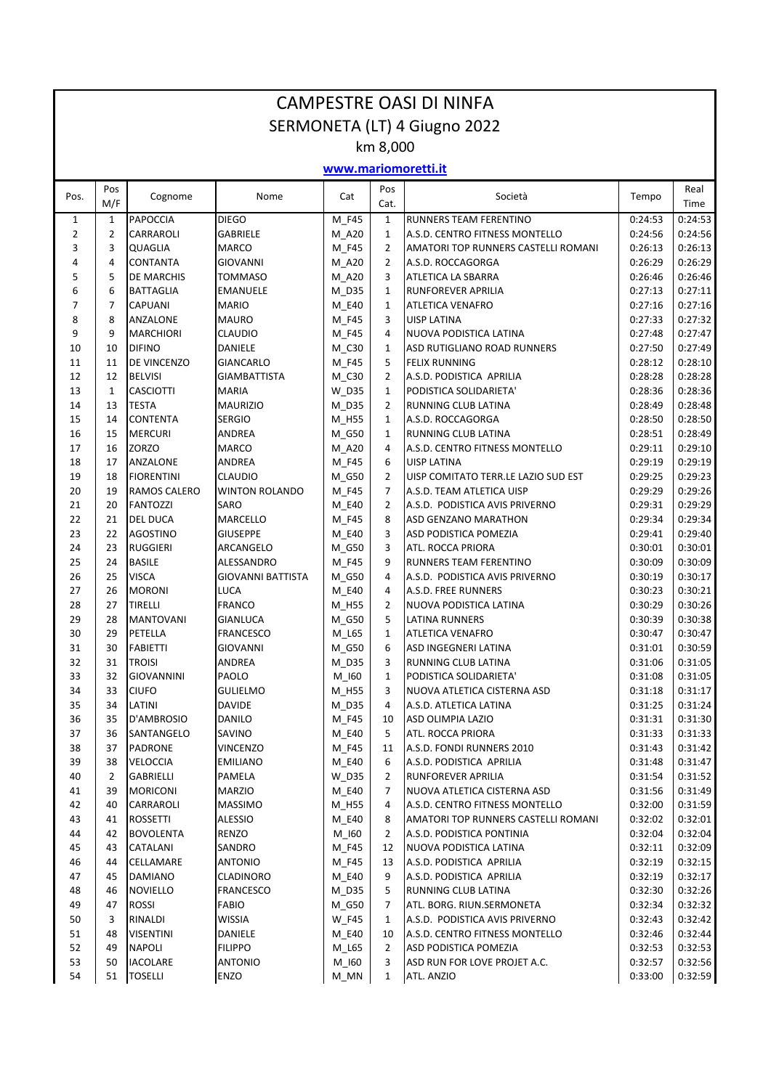| <b>CAMPESTRE OASI DI NINFA</b> |                |                                      |                                   |                  |                     |                                                 |                    |                    |  |  |
|--------------------------------|----------------|--------------------------------------|-----------------------------------|------------------|---------------------|-------------------------------------------------|--------------------|--------------------|--|--|
| SERMONETA (LT) 4 Giugno 2022   |                |                                      |                                   |                  |                     |                                                 |                    |                    |  |  |
| km 8,000                       |                |                                      |                                   |                  |                     |                                                 |                    |                    |  |  |
| www.mariomoretti.it            |                |                                      |                                   |                  |                     |                                                 |                    |                    |  |  |
| Pos.                           | Pos<br>M/F     | Cognome                              | Nome                              | Cat              | Pos<br>Cat.         | Società                                         | Tempo              | Real<br>Time       |  |  |
| 1                              | 1              | <b>PAPOCCIA</b>                      | <b>DIEGO</b>                      | M_F45            | 1                   | RUNNERS TEAM FERENTINO                          | 0:24:53            | 0:24:53            |  |  |
| $\overline{2}$                 | $\overline{2}$ | <b>CARRAROLI</b>                     | <b>GABRIELE</b>                   | M_A20            | 1                   | A.S.D. CENTRO FITNESS MONTELLO                  | 0:24:56            | 0:24:56            |  |  |
| 3                              | 3<br>4         | QUAGLIA                              | <b>MARCO</b>                      | M F45            | 2                   | AMATORI TOP RUNNERS CASTELLI ROMANI             | 0:26:13            | 0:26:13<br>0:26:29 |  |  |
| 4<br>5                         | 5              | <b>CONTANTA</b><br><b>DE MARCHIS</b> | <b>GIOVANNI</b><br><b>TOMMASO</b> | M_A20<br>M_A20   | $\overline{2}$<br>3 | A.S.D. ROCCAGORGA<br>ATLETICA LA SBARRA         | 0:26:29<br>0:26:46 | 0:26:46            |  |  |
| 6                              | 6              | <b>BATTAGLIA</b>                     | <b>EMANUELE</b>                   | $M_D35$          | $\mathbf{1}$        | <b>RUNFOREVER APRILIA</b>                       | 0:27:13            | 0:27:11            |  |  |
| 7                              | $\overline{7}$ | <b>CAPUANI</b>                       | <b>MARIO</b>                      | M_E40            | 1                   | <b>ATLETICA VENAFRO</b>                         | 0:27:16            | 0:27:16            |  |  |
| 8                              | 8              | ANZALONE                             | <b>MAURO</b>                      | M F45            | 3                   | <b>UISP LATINA</b>                              | 0:27:33            | 0:27:32            |  |  |
| 9                              | 9              | <b>MARCHIORI</b>                     | <b>CLAUDIO</b>                    | M F45            | 4                   | NUOVA PODISTICA LATINA                          | 0:27:48            | 0:27:47            |  |  |
| 10                             | 10             | <b>DIFINO</b>                        | <b>DANIELE</b>                    | M C30            | $\mathbf{1}$        | ASD RUTIGLIANO ROAD RUNNERS                     | 0:27:50            | 0:27:49            |  |  |
| 11                             | 11             | DE VINCENZO                          | <b>GIANCARLO</b>                  | M F45            | 5                   | <b>FELIX RUNNING</b>                            | 0:28:12            | 0:28:10            |  |  |
| 12                             | 12             | <b>BELVISI</b>                       | <b>GIAMBATTISTA</b>               | M_C30            | $\overline{2}$      | A.S.D. PODISTICA APRILIA                        | 0:28:28            | 0:28:28            |  |  |
| 13                             | $\mathbf{1}$   | <b>CASCIOTTI</b>                     | <b>MARIA</b>                      | $W_D35$          | $\mathbf{1}$        | PODISTICA SOLIDARIETA'                          | 0:28:36            | 0:28:36            |  |  |
| 14                             | 13             | <b>TESTA</b>                         | <b>MAURIZIO</b>                   | M_D35            | 2                   | RUNNING CLUB LATINA                             | 0:28:49            | 0:28:48            |  |  |
| 15                             | 14             | <b>CONTENTA</b>                      | <b>SERGIO</b>                     | M H55            | 1                   | A.S.D. ROCCAGORGA                               | 0:28:50            | 0:28:50            |  |  |
| 16                             | 15             | <b>MERCURI</b>                       | <b>ANDREA</b>                     | M_G50            | $\mathbf{1}$        | RUNNING CLUB LATINA                             | 0:28:51            | 0:28:49            |  |  |
| 17                             | 16             | <b>ZORZO</b>                         | <b>MARCO</b>                      | M A20            | 4                   | A.S.D. CENTRO FITNESS MONTELLO                  | 0:29:11            | 0:29:10            |  |  |
| 18                             | 17             | ANZALONE                             | ANDREA                            | M F45            | 6                   | <b>UISP LATINA</b>                              | 0:29:19            | 0:29:19            |  |  |
| 19                             | 18             | <b>FIORENTINI</b>                    | <b>CLAUDIO</b>                    | M G50            | $\overline{2}$      | UISP COMITATO TERR.LE LAZIO SUD EST             | 0:29:25            | 0:29:23            |  |  |
| 20                             | 19             | RAMOS CALERO                         | <b>WINTON ROLANDO</b>             | M_F45            | 7                   | A.S.D. TEAM ATLETICA UISP                       | 0:29:29            | 0:29:26            |  |  |
| 21                             | 20             | <b>FANTOZZI</b>                      | <b>SARO</b>                       | M_E40            | $\overline{2}$      | A.S.D. PODISTICA AVIS PRIVERNO                  | 0:29:31            | 0:29:29            |  |  |
| 22                             | 21             | DEL DUCA                             | <b>MARCELLO</b>                   | M_F45            | 8                   | <b>ASD GENZANO MARATHON</b>                     | 0:29:34            | 0:29:34            |  |  |
| 23                             | 22             | <b>AGOSTINO</b>                      | <b>GIUSEPPE</b>                   | M E40            | 3                   | <b>ASD PODISTICA POMEZIA</b>                    | 0:29:41            | 0:29:40            |  |  |
| 24                             | 23             | <b>RUGGIERI</b>                      | ARCANGELO                         | M G50            | 3                   | ATL. ROCCA PRIORA                               | 0:30:01            | 0:30:01            |  |  |
| 25                             | 24             | <b>BASILE</b>                        | ALESSANDRO                        | M F45            | 9                   | RUNNERS TEAM FERENTINO                          | 0:30:09            | 0:30:09            |  |  |
| 26                             | 25             | <b>VISCA</b>                         | <b>GIOVANNI BATTISTA</b>          | $M_G50$          | 4                   | A.S.D. PODISTICA AVIS PRIVERNO                  | 0:30:19            | 0:30:17            |  |  |
| 27                             | 26             | <b>MORONI</b>                        | LUCA                              | M_E40            | 4                   | A.S.D. FREE RUNNERS                             | 0:30:23            | 0:30:21            |  |  |
| 28                             | 27             | <b>TIRELLI</b>                       | <b>FRANCO</b>                     | M H55            | 2                   | NUOVA PODISTICA LATINA                          | 0:30:29            | 0:30:26            |  |  |
| 29                             | 28             | <b>MANTOVANI</b>                     | <b>GIANLUCA</b>                   | M_G50            | 5                   | <b>LATINA RUNNERS</b>                           | 0:30:39            | 0:30:38            |  |  |
| 30                             | 29             | PETELLA                              | <b>FRANCESCO</b>                  | M L65            | $\mathbf{1}$        | <b>ATLETICA VENAFRO</b>                         | 0:30:47            | 0:30:47            |  |  |
| 31                             | 30             | <b>FABIETTI</b>                      | <b>GIOVANNI</b>                   | M_G50            | 6                   | ASD INGEGNERI LATINA                            | 0:31:01            | 0:30:59            |  |  |
| 32                             | 31             | <b>TROISI</b>                        | ANDREA                            | $M_D35$          | 3                   | RUNNING CLUB LATINA                             | 0:31:06            | 0:31:05            |  |  |
| 33                             | 32             | <b>GIOVANNINI</b>                    | PAOLO                             | M_I60            | 1                   | PODISTICA SOLIDARIETA'                          | 0:31:08            | 0:31:05            |  |  |
| 34                             | 33             | <b>CIUFO</b>                         | <b>GULIELMO</b>                   | M_H55            | 3                   | NUOVA ATLETICA CISTERNA ASD                     | 0:31:18            | 0:31:17            |  |  |
| 35                             | 34             | LATINI                               | <b>DAVIDE</b>                     | $M_D35$          | 4                   | A.S.D. ATLETICA LATINA                          | 0:31:25            | 0:31:24            |  |  |
| 36                             | 35             | D'AMBROSIO                           | <b>DANILO</b>                     | M F45            | 10                  | ASD OLIMPIA LAZIO                               | 0:31:31            | 0:31:30            |  |  |
| 37                             | 36             | SANTANGELO                           | SAVINO                            | M_E40            | 5                   | ATL. ROCCA PRIORA                               | 0:31:33            | 0:31:33            |  |  |
| 38                             | 37             | PADRONE                              | <b>VINCENZO</b>                   | M_F45            | 11                  | A.S.D. FONDI RUNNERS 2010                       | 0:31:43            | 0:31:42            |  |  |
| 39                             | 38             | <b>VELOCCIA</b>                      | <b>EMILIANO</b>                   | M_E40            | 6                   | A.S.D. PODISTICA APRILIA                        | 0:31:48            | 0:31:47            |  |  |
| 40                             | $\overline{2}$ | <b>GABRIELLI</b>                     | PAMELA                            | $W_D35$          | 2                   | <b>RUNFOREVER APRILIA</b>                       | 0:31:54            | 0:31:52            |  |  |
| 41                             | 39             | <b>MORICONI</b>                      | <b>MARZIO</b>                     | M_E40            | 7                   | NUOVA ATLETICA CISTERNA ASD                     | 0:31:56            | 0:31:49            |  |  |
| 42                             | 40             | CARRAROLI                            | <b>MASSIMO</b>                    | M H55            | 4                   | A.S.D. CENTRO FITNESS MONTELLO                  | 0:32:00            | 0:31:59            |  |  |
| 43                             | 41             | <b>ROSSETTI</b>                      | <b>ALESSIO</b>                    | M_E40            | 8                   | AMATORI TOP RUNNERS CASTELLI ROMANI             | 0:32:02            | 0:32:01            |  |  |
| 44                             | 42             | <b>BOVOLENTA</b>                     | RENZO                             | M_I60            | $\overline{2}$      | A.S.D. PODISTICA PONTINIA                       | 0:32:04            | 0:32:04            |  |  |
| 45                             | 43             | CATALANI                             | SANDRO<br><b>ANTONIO</b>          | M F45            | 12                  | NUOVA PODISTICA LATINA                          | 0:32:11<br>0:32:19 | 0:32:09<br>0:32:15 |  |  |
| 46<br>47                       | 44<br>45       | CELLAMARE<br><b>DAMIANO</b>          |                                   | M_F45            | 13<br>9             | A.S.D. PODISTICA APRILIA                        |                    | 0:32:17            |  |  |
| 48                             | 46             | <b>NOVIELLO</b>                      | <b>CLADINORO</b>                  | M_E40            | 5                   | A.S.D. PODISTICA APRILIA<br>RUNNING CLUB LATINA | 0:32:19<br>0:32:30 | 0:32:26            |  |  |
| 49                             | 47             | <b>ROSSI</b>                         | <b>FRANCESCO</b><br>FABIO         | $M_D35$<br>M_G50 | 7                   | ATL. BORG. RIUN.SERMONETA                       | 0:32:34            | 0:32:32            |  |  |
| 50                             | 3              | RINALDI                              | <b>WISSIA</b>                     | <b>W_F45</b>     | 1                   | A.S.D. PODISTICA AVIS PRIVERNO                  | 0:32:43            | 0:32:42            |  |  |
| 51                             | 48             | <b>VISENTINI</b>                     | DANIELE                           | M_E40            | 10                  | A.S.D. CENTRO FITNESS MONTELLO                  | 0:32:46            | 0:32:44            |  |  |
| 52                             | 49             | <b>NAPOLI</b>                        | <b>FILIPPO</b>                    | $M_L$ 65         | $\overline{2}$      | ASD PODISTICA POMEZIA                           | 0:32:53            | 0:32:53            |  |  |
| 53                             | 50             | <b>IACOLARE</b>                      | <b>ANTONIO</b>                    | $M_l$ 160        | 3                   | ASD RUN FOR LOVE PROJET A.C.                    | 0:32:57            | 0:32:56            |  |  |
| 54                             | 51             | <b>TOSELLI</b>                       | <b>ENZO</b>                       | $M_MN$           | $\mathbf{1}$        | ATL. ANZIO                                      | 0:33:00            | 0:32:59            |  |  |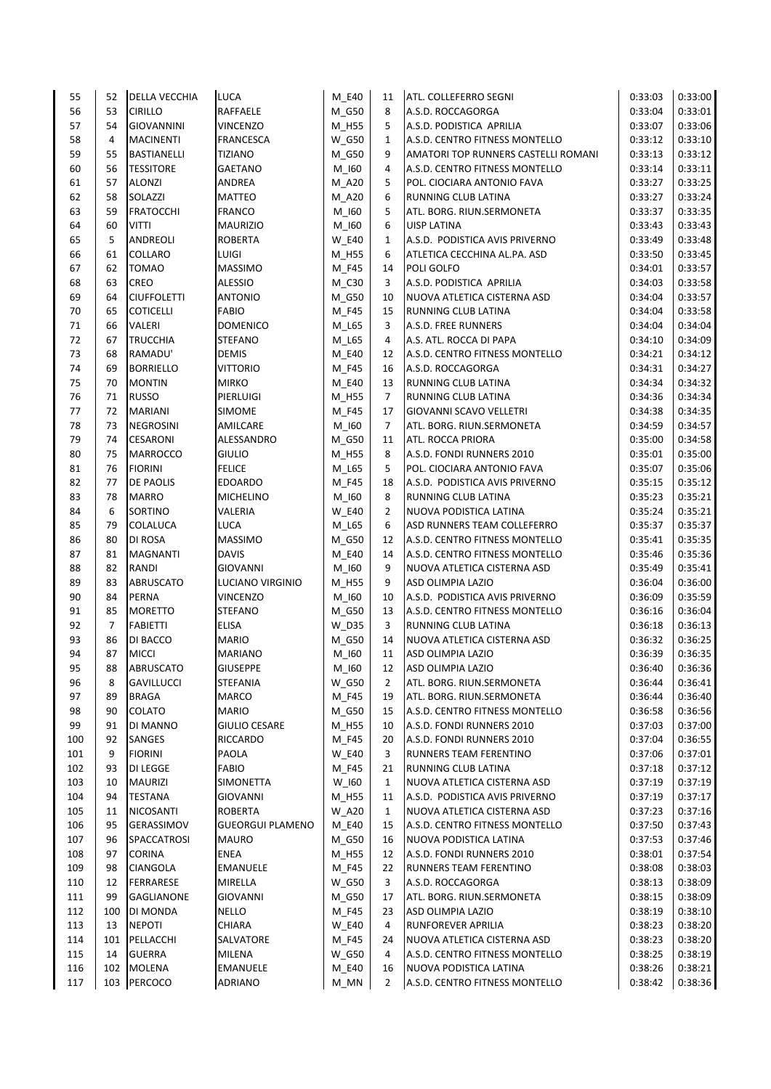| 55  | 52             | <b>DELLA VECCHIA</b> | <b>LUCA</b>             | M E40        | 11             | <b>ATL. COLLEFERRO SEGNI</b>        | 0:33:03 | 0:33:00 |
|-----|----------------|----------------------|-------------------------|--------------|----------------|-------------------------------------|---------|---------|
| 56  | 53             | <b>CIRILLO</b>       | <b>RAFFAELE</b>         | M_G50        | 8              | A.S.D. ROCCAGORGA                   | 0:33:04 | 0:33:01 |
| 57  | 54             | <b>GIOVANNINI</b>    | <b>VINCENZO</b>         | $M_H55$      | 5              | A.S.D. PODISTICA APRILIA            | 0:33:07 | 0:33:06 |
| 58  | 4              | <b>MACINENTI</b>     | FRANCESCA               | <b>W_G50</b> | $\mathbf{1}$   | A.S.D. CENTRO FITNESS MONTELLO      | 0:33:12 | 0:33:10 |
| 59  | 55             | <b>BASTIANELLI</b>   | <b>TIZIANO</b>          | M_G50        | 9              | AMATORI TOP RUNNERS CASTELLI ROMANI | 0:33:13 | 0:33:12 |
| 60  | 56             | <b>TESSITORE</b>     | <b>GAETANO</b>          | $M_l$ 160    | 4              | A.S.D. CENTRO FITNESS MONTELLO      | 0:33:14 | 0:33:11 |
| 61  | 57             | <b>ALONZI</b>        | ANDREA                  | M_A20        | 5              | POL. CIOCIARA ANTONIO FAVA          | 0:33:27 | 0:33:25 |
| 62  | 58             | SOLAZZI              | <b>MATTEO</b>           | M_A20        | 6              | RUNNING CLUB LATINA                 | 0:33:27 | 0:33:24 |
| 63  | 59             | <b>FRATOCCHI</b>     | <b>FRANCO</b>           | M_I60        | 5              | ATL. BORG. RIUN.SERMONETA           | 0:33:37 | 0:33:35 |
| 64  | 60             | <b>VITTI</b>         | <b>MAURIZIO</b>         | $M_l$ 160    | 6              | <b>UISP LATINA</b>                  | 0:33:43 | 0:33:43 |
| 65  | 5              | ANDREOLI             | <b>ROBERTA</b>          | <b>W E40</b> | $\mathbf{1}$   | A.S.D. PODISTICA AVIS PRIVERNO      | 0:33:49 | 0:33:48 |
| 66  | 61             | COLLARO              | LUIGI                   | M_H55        | 6              | ATLETICA CECCHINA AL.PA. ASD        | 0:33:50 | 0:33:45 |
| 67  | 62             | <b>TOMAO</b>         | <b>MASSIMO</b>          | M_F45        | 14             | POLI GOLFO                          | 0:34:01 | 0:33:57 |
| 68  | 63             | CREO                 | <b>ALESSIO</b>          | M C30        | 3              | A.S.D. PODISTICA APRILIA            | 0:34:03 | 0:33:58 |
| 69  | 64             | <b>CIUFFOLETTI</b>   | <b>ANTONIO</b>          | M_G50        | 10             | NUOVA ATLETICA CISTERNA ASD         | 0:34:04 | 0:33:57 |
| 70  | 65             | <b>COTICELLI</b>     | <b>FABIO</b>            | M_F45        | 15             | RUNNING CLUB LATINA                 | 0:34:04 | 0:33:58 |
| 71  | 66             | VALERI               | <b>DOMENICO</b>         | M_L65        | 3              | A.S.D. FREE RUNNERS                 | 0:34:04 | 0:34:04 |
| 72  | 67             | <b>TRUCCHIA</b>      | <b>STEFANO</b>          | M_L65        | 4              | A.S. ATL. ROCCA DI PAPA             | 0:34:10 | 0:34:09 |
| 73  | 68             | RAMADU'              | <b>DEMIS</b>            | M_E40        | 12             | A.S.D. CENTRO FITNESS MONTELLO      | 0:34:21 | 0:34:12 |
| 74  | 69             | <b>BORRIELLO</b>     | <b>VITTORIO</b>         | $M_F45$      | 16             | A.S.D. ROCCAGORGA                   | 0:34:31 | 0:34:27 |
| 75  | 70             | <b>MONTIN</b>        | <b>MIRKO</b>            | M_E40        | 13             | RUNNING CLUB LATINA                 | 0:34:34 | 0:34:32 |
| 76  | 71             | <b>RUSSO</b>         | PIERLUIGI               | M_H55        | $\overline{7}$ | <b>RUNNING CLUB LATINA</b>          | 0:34:36 | 0:34:34 |
| 77  | 72             | <b>MARIANI</b>       | <b>SIMOME</b>           | M F45        | 17             | <b>GIOVANNI SCAVO VELLETRI</b>      | 0:34:38 | 0:34:35 |
| 78  | 73             | <b>NEGROSINI</b>     | AMILCARE                | $M_l$ 160    | $\overline{7}$ | ATL. BORG. RIUN.SERMONETA           | 0:34:59 | 0:34:57 |
| 79  | 74             | CESARONI             | ALESSANDRO              | M_G50        | 11             | ATL. ROCCA PRIORA                   | 0:35:00 | 0:34:58 |
| 80  | 75             | <b>MARROCCO</b>      | <b>GIULIO</b>           | M_H55        | 8              | A.S.D. FONDI RUNNERS 2010           | 0:35:01 | 0:35:00 |
| 81  | 76             | <b>FIORINI</b>       | <b>FELICE</b>           | M_L65        | 5              | POL. CIOCIARA ANTONIO FAVA          | 0:35:07 | 0:35:06 |
| 82  | 77             | DE PAOLIS            | <b>EDOARDO</b>          | M F45        | 18             | A.S.D. PODISTICA AVIS PRIVERNO      | 0:35:15 | 0:35:12 |
| 83  | 78             | <b>MARRO</b>         | <b>MICHELINO</b>        | $M_l$ 160    | 8              | RUNNING CLUB LATINA                 | 0:35:23 | 0:35:21 |
| 84  | 6              | SORTINO              | VALERIA                 | <b>W_E40</b> | $\overline{2}$ | NUOVA PODISTICA LATINA              | 0:35:24 | 0:35:21 |
| 85  | 79             | COLALUCA             | <b>LUCA</b>             | M_L65        | 6              | ASD RUNNERS TEAM COLLEFERRO         | 0:35:37 | 0:35:37 |
| 86  | 80             | DI ROSA              | <b>MASSIMO</b>          | M_G50        | 12             | A.S.D. CENTRO FITNESS MONTELLO      | 0:35:41 | 0:35:35 |
| 87  | 81             | <b>MAGNANTI</b>      | <b>DAVIS</b>            | M_E40        | 14             | A.S.D. CENTRO FITNESS MONTELLO      | 0:35:46 | 0:35:36 |
| 88  | 82             | RANDI                | <b>GIOVANNI</b>         | $M_l$ 160    | 9              | NUOVA ATLETICA CISTERNA ASD         | 0:35:49 | 0:35:41 |
| 89  | 83             | <b>ABRUSCATO</b>     | LUCIANO VIRGINIO        | M_H55        | 9              | ASD OLIMPIA LAZIO                   | 0:36:04 | 0:36:00 |
| 90  | 84             | PERNA                | <b>VINCENZO</b>         | $M_l$ 160    | 10             | A.S.D. PODISTICA AVIS PRIVERNO      | 0:36:09 | 0:35:59 |
| 91  | 85             | <b>MORETTO</b>       | STEFANO                 | M_G50        | 13             | A.S.D. CENTRO FITNESS MONTELLO      | 0:36:16 | 0:36:04 |
| 92  | $\overline{7}$ | <b>FABIETTI</b>      | <b>ELISA</b>            | $W_D35$      | 3              | RUNNING CLUB LATINA                 | 0:36:18 | 0:36:13 |
| 93  | 86             | DI BACCO             | <b>MARIO</b>            | M G50        | 14             | NUOVA ATLETICA CISTERNA ASD         | 0:36:32 | 0:36:25 |
| 94  | 87             | <b>MICCI</b>         | <b>MARIANO</b>          | $M_l$ 160    | 11             | <b>ASD OLIMPIA LAZIO</b>            | 0:36:39 | 0:36:35 |
| 95  | 88             | ABRUSCATO            | <b>GIUSEPPE</b>         | $M_l60$      | 12             | ASD OLIMPIA LAZIO                   | 0:36:40 | 0:36:36 |
| 96  | 8              | <b>GAVILLUCCI</b>    | STEFANIA                | <b>W_G50</b> | 2              | ATL. BORG. RIUN.SERMONETA           | 0:36:44 | 0:36:41 |
| 97  | 89             | <b>BRAGA</b>         | MARCO                   | M_F45        | 19             | ATL. BORG. RIUN.SERMONETA           | 0:36:44 | 0:36:40 |
| 98  | 90             | <b>COLATO</b>        | MARIO                   | M G50        | 15             | A.S.D. CENTRO FITNESS MONTELLO      | 0:36:58 | 0:36:56 |
| 99  | 91             | <b>DI MANNO</b>      | <b>GIULIO CESARE</b>    | M_H55        | 10             | A.S.D. FONDI RUNNERS 2010           | 0:37:03 | 0:37:00 |
| 100 | 92             | SANGES               | RICCARDO                | M_F45        | 20             | A.S.D. FONDI RUNNERS 2010           | 0:37:04 | 0:36:55 |
| 101 | 9              | <b>FIORINI</b>       | PAOLA                   | <b>W_E40</b> | 3              | RUNNERS TEAM FERENTINO              | 0:37:06 | 0:37:01 |
| 102 | 93             | DI LEGGE             | FABIO                   | $M_F45$      | 21             | RUNNING CLUB LATINA                 | 0:37:18 | 0:37:12 |
| 103 | 10             | <b>MAURIZI</b>       | SIMONETTA               | $W_l60$      | $\mathbf{1}$   | NUOVA ATLETICA CISTERNA ASD         | 0:37:19 | 0:37:19 |
| 104 | 94             | <b>TESTANA</b>       | <b>GIOVANNI</b>         | M_H55        | 11             | A.S.D. PODISTICA AVIS PRIVERNO      | 0:37:19 | 0:37:17 |
| 105 | 11             | <b>NICOSANTI</b>     | ROBERTA                 | <b>W_A20</b> | $\mathbf{1}$   | NUOVA ATLETICA CISTERNA ASD         | 0:37:23 | 0:37:16 |
| 106 | 95             | GERASSIMOV           | <b>GUEORGUI PLAMENO</b> | M_E40        | 15             | A.S.D. CENTRO FITNESS MONTELLO      | 0:37:50 | 0:37:43 |
| 107 | 96             | <b>SPACCATROSI</b>   | MAURO                   | M_G50        | 16             | NUOVA PODISTICA LATINA              | 0:37:53 | 0:37:46 |
| 108 | 97             | <b>CORINA</b>        | <b>ENEA</b>             | M_H55        | 12             | A.S.D. FONDI RUNNERS 2010           | 0:38:01 | 0:37:54 |
| 109 | 98             | CIANGOLA             | EMANUELE                | M_F45        | 22             | RUNNERS TEAM FERENTINO              | 0:38:08 | 0:38:03 |
| 110 | 12             | FERRARESE            | MIRELLA                 | <b>W_G50</b> | 3              | A.S.D. ROCCAGORGA                   | 0:38:13 | 0:38:09 |
| 111 | 99             | GAGLIANONE           | <b>GIOVANNI</b>         | M_G50        | 17             | ATL. BORG. RIUN.SERMONETA           | 0:38:15 | 0:38:09 |
| 112 | 100            | <b>DI MONDA</b>      | <b>NELLO</b>            | M F45        | 23             | ASD OLIMPIA LAZIO                   | 0:38:19 | 0:38:10 |
| 113 | 13             | <b>NEPOTI</b>        | CHIARA                  | <b>W_E40</b> | 4              | RUNFOREVER APRILIA                  | 0:38:23 | 0:38:20 |
| 114 | 101            | PELLACCHI            | SALVATORE               | M_F45        | 24             | NUOVA ATLETICA CISTERNA ASD         | 0:38:23 | 0:38:20 |
| 115 | 14             | <b>GUERRA</b>        | MILENA                  | W G50        | 4              | A.S.D. CENTRO FITNESS MONTELLO      | 0:38:25 | 0:38:19 |
| 116 | 102            | MOLENA               | EMANUELE                | M_E40        | 16             | NUOVA PODISTICA LATINA              | 0:38:26 | 0:38:21 |
| 117 | 103            | PERCOCO              | <b>ADRIANO</b>          | $M_MN$       | $\overline{2}$ | A.S.D. CENTRO FITNESS MONTELLO      | 0:38:42 | 0:38:36 |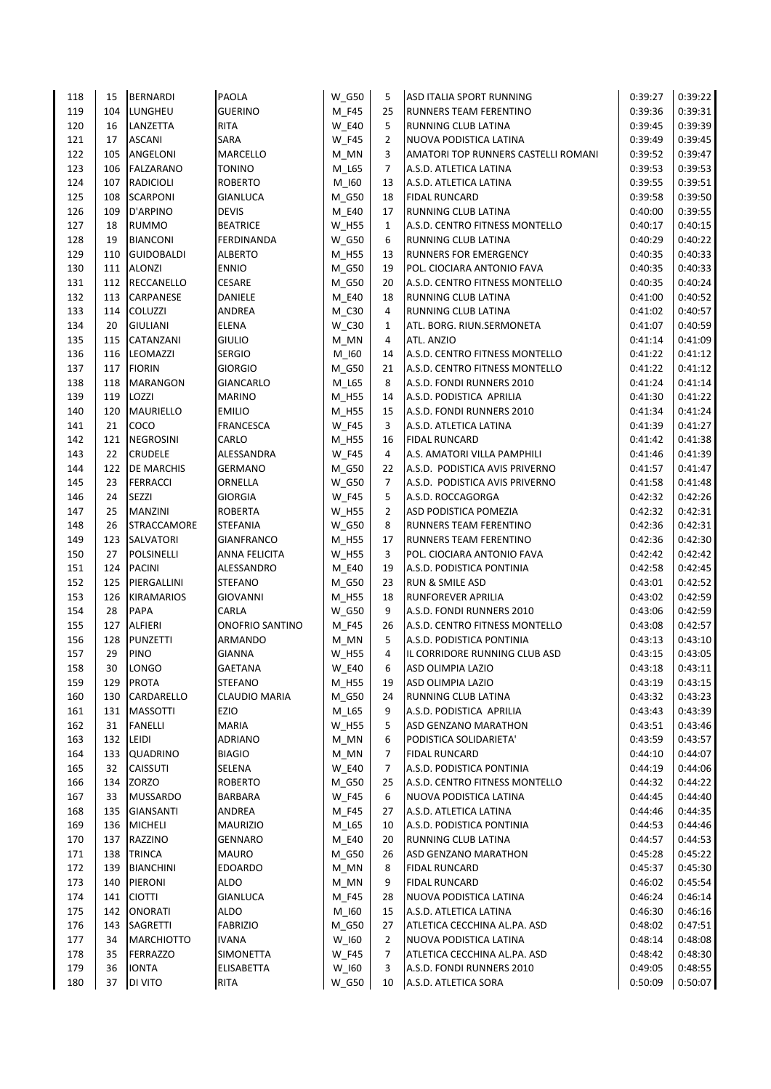| 118 | 15  | BERNARDI           | <b>PAOLA</b>           | <b>W_G50</b> | 5              | <b>ASD ITALIA SPORT RUNNING</b>     | 0:39:27 | 0:39:22 |
|-----|-----|--------------------|------------------------|--------------|----------------|-------------------------------------|---------|---------|
| 119 | 104 | <b>LUNGHEU</b>     | <b>GUERINO</b>         | M F45        | 25             | <b>RUNNERS TEAM FERENTINO</b>       | 0:39:36 | 0:39:31 |
| 120 | 16  | LANZETTA           | <b>RITA</b>            | <b>W E40</b> | 5              | RUNNING CLUB LATINA                 | 0:39:45 | 0:39:39 |
| 121 | 17  | <b>ASCANI</b>      | <b>SARA</b>            | <b>W_F45</b> | $\overline{2}$ | NUOVA PODISTICA LATINA              | 0:39:49 | 0:39:45 |
| 122 | 105 | ANGELONI           | MARCELLO               | M_MN         | 3              | AMATORI TOP RUNNERS CASTELLI ROMANI | 0:39:52 | 0:39:47 |
| 123 | 106 | FALZARANO          | <b>TONINO</b>          | M_L65        | $\overline{7}$ | A.S.D. ATLETICA LATINA              | 0:39:53 | 0:39:53 |
| 124 | 107 | <b>RADICIOLI</b>   | <b>ROBERTO</b>         | M 160        | 13             | A.S.D. ATLETICA LATINA              | 0:39:55 | 0:39:51 |
| 125 | 108 | <b>SCARPONI</b>    | <b>GIANLUCA</b>        | $M_G50$      | 18             | <b>FIDAL RUNCARD</b>                | 0:39:58 | 0:39:50 |
| 126 | 109 | D'ARPINO           | <b>DEVIS</b>           | $M_E40$      | 17             | <b>RUNNING CLUB LATINA</b>          | 0:40:00 | 0:39:55 |
| 127 | 18  | <b>RUMMO</b>       | <b>BEATRICE</b>        | W_H55        | $\mathbf{1}$   | A.S.D. CENTRO FITNESS MONTELLO      | 0:40:17 | 0:40:15 |
| 128 | 19  | <b>BIANCONI</b>    | FERDINANDA             | W G50        | 6              | <b>RUNNING CLUB LATINA</b>          | 0:40:29 | 0:40:22 |
| 129 | 110 | <b>GUIDOBALDI</b>  | <b>ALBERTO</b>         | M_H55        | 13             | <b>RUNNERS FOR EMERGENCY</b>        | 0:40:35 | 0:40:33 |
| 130 | 111 | <b>ALONZI</b>      | <b>ENNIO</b>           | M_G50        | 19             | POL. CIOCIARA ANTONIO FAVA          | 0:40:35 | 0:40:33 |
| 131 | 112 | <b>RECCANELLO</b>  | <b>CESARE</b>          | M G50        | 20             | A.S.D. CENTRO FITNESS MONTELLO      | 0:40:35 | 0:40:24 |
| 132 | 113 | <b>CARPANESE</b>   | <b>DANIELE</b>         | M_E40        | 18             | <b>RUNNING CLUB LATINA</b>          | 0:41:00 | 0:40:52 |
| 133 | 114 | <b>COLUZZI</b>     | <b>ANDREA</b>          | M_C30        | 4              | RUNNING CLUB LATINA                 | 0:41:02 | 0:40:57 |
| 134 | 20  | <b>GIULIANI</b>    | <b>ELENA</b>           | W_C30        | 1              | ATL. BORG. RIUN.SERMONETA           | 0:41:07 | 0:40:59 |
| 135 | 115 | <b>CATANZANI</b>   | <b>GIULIO</b>          | M_MN         | 4              | ATL. ANZIO                          | 0:41:14 | 0:41:09 |
| 136 | 116 | LEOMAZZI           | <b>SERGIO</b>          | M_I60        | 14             | A.S.D. CENTRO FITNESS MONTELLO      | 0:41:22 | 0:41:12 |
| 137 | 117 | <b>FIORIN</b>      | <b>GIORGIO</b>         | M_G50        | 21             | A.S.D. CENTRO FITNESS MONTELLO      | 0:41:22 | 0:41:12 |
| 138 | 118 | <b>MARANGON</b>    | <b>GIANCARLO</b>       | M_L65        | 8              | A.S.D. FONDI RUNNERS 2010           | 0:41:24 | 0:41:14 |
| 139 | 119 | LOZZI              | <b>MARINO</b>          | M_H55        | 14             | A.S.D. PODISTICA APRILIA            | 0:41:30 | 0:41:22 |
| 140 | 120 | MAURIELLO          | <b>EMILIO</b>          | M_H55        | 15             | A.S.D. FONDI RUNNERS 2010           | 0:41:34 | 0:41:24 |
| 141 | 21  | COCO               | <b>FRANCESCA</b>       | <b>W_F45</b> | 3              | A.S.D. ATLETICA LATINA              | 0:41:39 | 0:41:27 |
| 142 | 121 | <b>NEGROSINI</b>   | CARLO                  | M_H55        | 16             | <b>FIDAL RUNCARD</b>                | 0:41:42 | 0:41:38 |
| 143 | 22  | <b>CRUDELE</b>     | ALESSANDRA             | <b>W_F45</b> | 4              | A.S. AMATORI VILLA PAMPHILI         | 0:41:46 | 0:41:39 |
| 144 | 122 | <b>DE MARCHIS</b>  | <b>GERMANO</b>         | M G50        | 22             | A.S.D. PODISTICA AVIS PRIVERNO      | 0:41:57 | 0:41:47 |
| 145 | 23  | <b>FERRACCI</b>    | ORNELLA                | W G50        | $\overline{7}$ | A.S.D. PODISTICA AVIS PRIVERNO      | 0:41:58 | 0:41:48 |
| 146 | 24  | <b>SEZZI</b>       | <b>GIORGIA</b>         | <b>W F45</b> | 5              | A.S.D. ROCCAGORGA                   | 0:42:32 | 0:42:26 |
| 147 | 25  | <b>MANZINI</b>     | <b>ROBERTA</b>         | W_H55        | $\overline{2}$ | ASD PODISTICA POMEZIA               | 0:42:32 | 0:42:31 |
| 148 | 26  | <b>STRACCAMORE</b> | <b>STEFANIA</b>        | <b>W_G50</b> | 8              | RUNNERS TEAM FERENTINO              | 0:42:36 | 0:42:31 |
| 149 | 123 | <b>SALVATORI</b>   | <b>GIANFRANCO</b>      | M_H55        | 17             | RUNNERS TEAM FERENTINO              | 0:42:36 | 0:42:30 |
| 150 | 27  | POLSINELLI         | <b>ANNA FELICITA</b>   | $W_H55$      | 3              | POL. CIOCIARA ANTONIO FAVA          | 0:42:42 | 0:42:42 |
| 151 | 124 | <b>PACINI</b>      | ALESSANDRO             | $M_E40$      | 19             | A.S.D. PODISTICA PONTINIA           | 0:42:58 | 0:42:45 |
| 152 | 125 | PIERGALLINI        | <b>STEFANO</b>         | M_G50        | 23             | <b>RUN &amp; SMILE ASD</b>          | 0:43:01 | 0:42:52 |
| 153 | 126 | <b>KIRAMARIOS</b>  | <b>GIOVANNI</b>        | $M_H55$      | 18             | <b>RUNFOREVER APRILIA</b>           | 0:43:02 | 0:42:59 |
| 154 | 28  | <b>PAPA</b>        | CARLA                  | <b>W_G50</b> | 9              | A.S.D. FONDI RUNNERS 2010           | 0:43:06 | 0:42:59 |
| 155 | 127 | ALFIERI            | <b>ONOFRIO SANTINO</b> | M_F45        | 26             | A.S.D. CENTRO FITNESS MONTELLO      | 0:43:08 | 0:42:57 |
| 156 | 128 | <b>PUNZETTI</b>    | <b>ARMANDO</b>         | M MN         | 5              | A.S.D. PODISTICA PONTINIA           | 0:43:13 | 0:43:10 |
| 157 | 29  | PINO               | <b>GIANNA</b>          | <b>W_H55</b> | $\overline{4}$ | IL CORRIDORE RUNNING CLUB ASD       | 0:43:15 | 0:43:05 |
| 158 | 30  | <b>LONGO</b>       | <b>GAETANA</b>         | <b>W_E40</b> | 6              | ASD OLIMPIA LAZIO                   | 0:43:18 | 0:43:11 |
| 159 | 129 | <b>PROTA</b>       | STEFANO                | M_H55        | 19             | ASD OLIMPIA LAZIO                   | 0:43:19 | 0:43:15 |
| 160 | 130 | CARDARELLO         | <b>CLAUDIO MARIA</b>   | M_G50        | 24             | RUNNING CLUB LATINA                 | 0:43:32 | 0:43:23 |
| 161 | 131 | <b>MASSOTTI</b>    | EZIO                   | M_L65        | 9              | A.S.D. PODISTICA APRILIA            | 0:43:43 | 0:43:39 |
| 162 | 31  | <b>FANELLI</b>     | MARIA                  | <b>W_H55</b> | 5              | ASD GENZANO MARATHON                | 0:43:51 | 0:43:46 |
| 163 | 132 | LEIDI              | <b>ADRIANO</b>         | $M_MN$       | 6              | PODISTICA SOLIDARIETA'              | 0:43:59 | 0:43:57 |
| 164 | 133 | <b>QUADRINO</b>    | <b>BIAGIO</b>          | $M_MN$       | 7              | FIDAL RUNCARD                       | 0:44:10 | 0:44:07 |
| 165 | 32  | <b>CAISSUTI</b>    | SELENA                 | <b>W_E40</b> | $\overline{7}$ | A.S.D. PODISTICA PONTINIA           | 0:44:19 | 0:44:06 |
| 166 | 134 | <b>ZORZO</b>       | <b>ROBERTO</b>         | M_G50        | 25             | A.S.D. CENTRO FITNESS MONTELLO      | 0:44:32 | 0:44:22 |
| 167 | 33  | <b>MUSSARDO</b>    | BARBARA                | <b>W_F45</b> | 6              | NUOVA PODISTICA LATINA              | 0:44:45 | 0:44:40 |
| 168 | 135 | <b>GIANSANTI</b>   | ANDREA                 | M_F45        | 27             | A.S.D. ATLETICA LATINA              | 0:44:46 | 0:44:35 |
| 169 | 136 | MICHELI            | <b>MAURIZIO</b>        | M_L65        | 10             | A.S.D. PODISTICA PONTINIA           | 0:44:53 | 0:44:46 |
| 170 | 137 | RAZZINO            | <b>GENNARO</b>         | M_E40        | 20             | RUNNING CLUB LATINA                 | 0:44:57 | 0:44:53 |
| 171 | 138 | <b>TRINCA</b>      | <b>MAURO</b>           | M_G50        | 26             | ASD GENZANO MARATHON                | 0:45:28 | 0:45:22 |
| 172 | 139 | <b>BIANCHINI</b>   | <b>EDOARDO</b>         | $M_MN$       | 8              | <b>FIDAL RUNCARD</b>                | 0:45:37 | 0:45:30 |
| 173 | 140 | PIERONI            | ALDO                   | M_MN         | 9              | <b>FIDAL RUNCARD</b>                | 0:46:02 | 0:45:54 |
| 174 | 141 | <b>CIOTTI</b>      | <b>GIANLUCA</b>        | M_F45        | 28             | NUOVA PODISTICA LATINA              | 0:46:24 | 0:46:14 |
| 175 | 142 | <b>ONORATI</b>     | <b>ALDO</b>            | $M_l$ 160    | 15             | A.S.D. ATLETICA LATINA              | 0:46:30 | 0:46:16 |
| 176 | 143 | SAGRETTI           | <b>FABRIZIO</b>        | M_G50        | 27             | ATLETICA CECCHINA AL.PA. ASD        | 0:48:02 | 0:47:51 |
| 177 | 34  | <b>MARCHIOTTO</b>  | <b>IVANA</b>           | $W_l60$      | $\overline{2}$ | NUOVA PODISTICA LATINA              | 0:48:14 | 0:48:08 |
| 178 | 35  | <b>FERRAZZO</b>    | SIMONETTA              | <b>W_F45</b> | $\overline{7}$ | ATLETICA CECCHINA AL.PA. ASD        | 0:48:42 | 0:48:30 |
| 179 | 36  | <b>IONTA</b>       | ELISABETTA             | W_I60        | 3              | A.S.D. FONDI RUNNERS 2010           | 0:49:05 | 0:48:55 |
| 180 | 37  | DI VITO            | RITA                   | <b>W_G50</b> | 10             | A.S.D. ATLETICA SORA                | 0:50:09 | 0:50:07 |